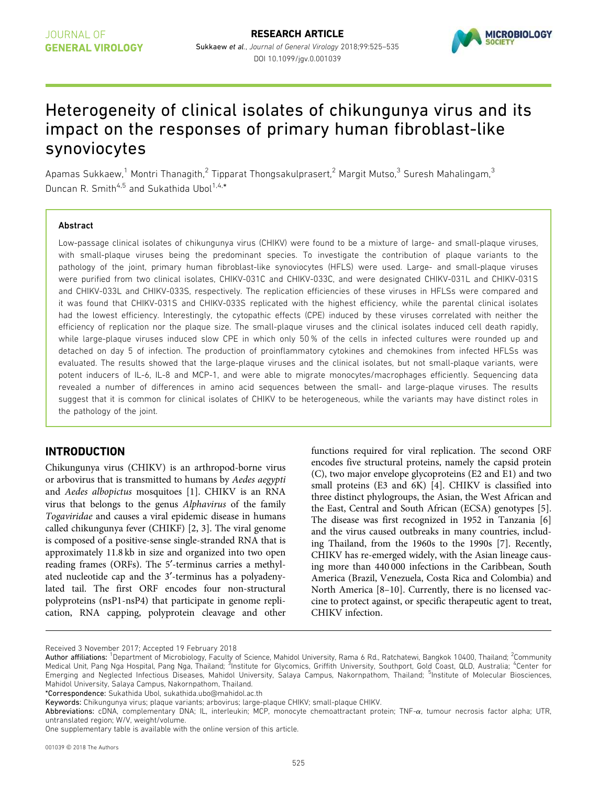

# Heterogeneity of clinical isolates of chikungunya virus and its impact on the responses of primary human fibroblast-like synoviocytes

Apamas Sukkaew,<sup>1</sup> Montri Thanagith,<sup>2</sup> Tipparat Thongsakulprasert,<sup>2</sup> Margit Mutso,<sup>3</sup> Suresh Mahalingam,<sup>3</sup> Duncan R. Smith<sup>4,5</sup> and Sukathida Ubol<sup>1,4,\*</sup>

#### Abstract

Low-passage clinical isolates of chikungunya virus (CHIKV) were found to be a mixture of large- and small-plaque viruses, with small-plaque viruses being the predominant species. To investigate the contribution of plaque variants to the pathology of the joint, primary human fibroblast-like synoviocytes (HFLS) were used. Large- and small-plaque viruses were purified from two clinical isolates, CHIKV-031C and CHIKV-033C, and were designated CHIKV-031L and CHIKV-031S and CHIKV-033L and CHIKV-033S, respectively. The replication efficiencies of these viruses in HFLSs were compared and it was found that CHIKV-031S and CHIKV-033S replicated with the highest efficiency, while the parental clinical isolates had the lowest efficiency. Interestingly, the cytopathic effects (CPE) induced by these viruses correlated with neither the efficiency of replication nor the plaque size. The small-plaque viruses and the clinical isolates induced cell death rapidly, while large-plaque viruses induced slow CPE in which only 50 % of the cells in infected cultures were rounded up and detached on day 5 of infection. The production of proinflammatory cytokines and chemokines from infected HFLSs was evaluated. The results showed that the large-plaque viruses and the clinical isolates, but not small-plaque variants, were potent inducers of IL-6, IL-8 and MCP-1, and were able to migrate monocytes/macrophages efficiently. Sequencing data revealed a number of differences in amino acid sequences between the small- and large-plaque viruses. The results suggest that it is common for clinical isolates of CHIKV to be heterogeneous, while the variants may have distinct roles in the pathology of the joint.

# INTRODUCTION

Chikungunya virus (CHIKV) is an arthropod-borne virus or arbovirus that is transmitted to humans by Aedes aegypti and Aedes albopictus mosquitoes [1]. CHIKV is an RNA virus that belongs to the genus Alphavirus of the family Togaviridae and causes a viral epidemic disease in humans called chikungunya fever (CHIKF) [2, 3]. The viral genome is composed of a positive-sense single-stranded RNA that is approximately 11.8 kb in size and organized into two open reading frames (ORFs). The 5'-terminus carries a methylated nucleotide cap and the 3'-terminus has a polyadenylated tail. The first ORF encodes four non-structural polyproteins (nsP1-nsP4) that participate in genome replication, RNA capping, polyprotein cleavage and other

functions required for viral replication. The second ORF encodes five structural proteins, namely the capsid protein (C), two major envelope glycoproteins (E2 and E1) and two small proteins (E3 and 6K) [4]. CHIKV is classified into three distinct phylogroups, the Asian, the West African and the East, Central and South African (ECSA) genotypes [5]. The disease was first recognized in 1952 in Tanzania [6] and the virus caused outbreaks in many countries, including Thailand, from the 1960s to the 1990s [7]. Recently, CHIKV has re-emerged widely, with the Asian lineage causing more than 440 000 infections in the Caribbean, South America (Brazil, Venezuela, Costa Rica and Colombia) and North America [8–10]. Currently, there is no licensed vaccine to protect against, or specific therapeutic agent to treat, CHIKV infection.

Received 3 November 2017; Accepted 19 February 2018

\*Correspondence: Sukathida Ubol, sukathida.ubo@mahidol.ac.th

Author affiliations: <sup>1</sup>Department of Microbiology, Faculty of Science, Mahidol University, Rama 6 Rd., Ratchatewi, Bangkok 10400, Thailand; <sup>2</sup>Community Medical Unit, Pang Nga Hospital, Pang Nga, Thailand; <sup>3</sup>Institute for Glycomics, Griffith University, Southport, Gold Coast, QLD, Australia; <sup>4</sup>Center for Emerging and Neglected Infectious Diseases, Mahidol University, Salaya Campus, Nakornpathom, Thailand; <sup>5</sup>Institute of Molecular Biosciences, Mahidol University, Salaya Campus, Nakornpathom, Thailand.

Keywords: Chikungunya virus; plaque variants; arbovirus; large-plaque CHIKV; small-plaque CHIKV.

Abbreviations: cDNA, complementary DNA; IL, interleukin; MCP, monocyte chemoattractant protein; TNF-a, tumour necrosis factor alpha; UTR, untranslated region; W/V, weight/volume.

One supplementary table is available with the online version of this article.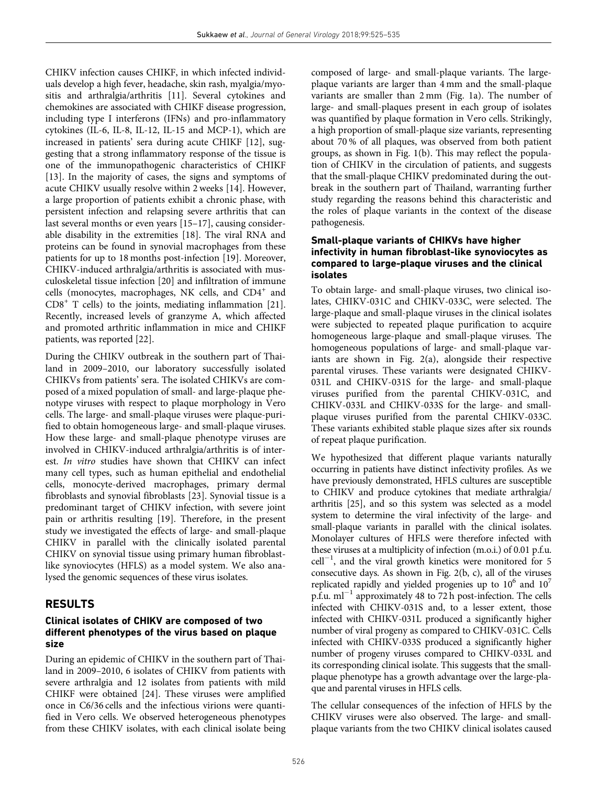CHIKV infection causes CHIKF, in which infected individuals develop a high fever, headache, skin rash, myalgia/myositis and arthralgia/arthritis [11]. Several cytokines and chemokines are associated with CHIKF disease progression, including type I interferons (IFNs) and pro-inflammatory cytokines (IL-6, IL-8, IL-12, IL-15 and MCP-1), which are increased in patients' sera during acute CHIKF [12], suggesting that a strong inflammatory response of the tissue is one of the immunopathogenic characteristics of CHIKF [13]. In the majority of cases, the signs and symptoms of acute CHIKV usually resolve within 2 weeks [14]. However, a large proportion of patients exhibit a chronic phase, with persistent infection and relapsing severe arthritis that can last several months or even years [15–17], causing considerable disability in the extremities [18]. The viral RNA and proteins can be found in synovial macrophages from these patients for up to 18 months post-infection [19]. Moreover, CHIKV-induced arthralgia/arthritis is associated with musculoskeletal tissue infection [20] and infiltration of immune cells (monocytes, macrophages, NK cells, and CD4<sup>+</sup> and CD8<sup>+</sup> T cells) to the joints, mediating inflammation [21]. Recently, increased levels of granzyme A, which affected and promoted arthritic inflammation in mice and CHIKF patients, was reported [22].

During the CHIKV outbreak in the southern part of Thailand in 2009–2010, our laboratory successfully isolated CHIKVs from patients' sera. The isolated CHIKVs are composed of a mixed population of small- and large-plaque phenotype viruses with respect to plaque morphology in Vero cells. The large- and small-plaque viruses were plaque-purified to obtain homogeneous large- and small-plaque viruses. How these large- and small-plaque phenotype viruses are involved in CHIKV-induced arthralgia/arthritis is of interest. In vitro studies have shown that CHIKV can infect many cell types, such as human epithelial and endothelial cells, monocyte-derived macrophages, primary dermal fibroblasts and synovial fibroblasts [23]. Synovial tissue is a predominant target of CHIKV infection, with severe joint pain or arthritis resulting [19]. Therefore, in the present study we investigated the effects of large- and small-plaque CHIKV in parallel with the clinically isolated parental CHIKV on synovial tissue using primary human fibroblastlike synoviocytes (HFLS) as a model system. We also analysed the genomic sequences of these virus isolates.

# RESULTS

## Clinical isolates of CHIKV are composed of two different phenotypes of the virus based on plaque size

During an epidemic of CHIKV in the southern part of Thailand in 2009–2010, 6 isolates of CHIKV from patients with severe arthralgia and 12 isolates from patients with mild CHIKF were obtained [24]. These viruses were amplified once in C6/36 cells and the infectious virions were quantified in Vero cells. We observed heterogeneous phenotypes from these CHIKV isolates, with each clinical isolate being composed of large- and small-plaque variants. The largeplaque variants are larger than 4 mm and the small-plaque variants are smaller than 2 mm (Fig. 1a). The number of large- and small-plaques present in each group of isolates was quantified by plaque formation in Vero cells. Strikingly, a high proportion of small-plaque size variants, representing about 70 % of all plaques, was observed from both patient groups, as shown in Fig. 1(b). This may reflect the population of CHIKV in the circulation of patients, and suggests that the small-plaque CHIKV predominated during the outbreak in the southern part of Thailand, warranting further study regarding the reasons behind this characteristic and the roles of plaque variants in the context of the disease pathogenesis.

## Small-plaque variants of CHIKVs have higher infectivity in human fibroblast-like synoviocytes as compared to large-plaque viruses and the clinical isolates

To obtain large- and small-plaque viruses, two clinical isolates, CHIKV-031C and CHIKV-033C, were selected. The large-plaque and small-plaque viruses in the clinical isolates were subjected to repeated plaque purification to acquire homogeneous large-plaque and small-plaque viruses. The homogeneous populations of large- and small-plaque variants are shown in Fig. 2(a), alongside their respective parental viruses. These variants were designated CHIKV-031L and CHIKV-031S for the large- and small-plaque viruses purified from the parental CHIKV-031C, and CHIKV-033L and CHIKV-033S for the large- and smallplaque viruses purified from the parental CHIKV-033C. These variants exhibited stable plaque sizes after six rounds of repeat plaque purification.

We hypothesized that different plaque variants naturally occurring in patients have distinct infectivity profiles. As we have previously demonstrated, HFLS cultures are susceptible to CHIKV and produce cytokines that mediate arthralgia/ arthritis [25], and so this system was selected as a model system to determine the viral infectivity of the large- and small-plaque variants in parallel with the clinical isolates. Monolayer cultures of HFLS were therefore infected with these viruses at a multiplicity of infection (m.o.i.) of 0.01 p.f.u.  $cell^{-1}$ , and the viral growth kinetics were monitored for 5 consecutive days. As shown in Fig. 2(b, c), all of the viruses replicated rapidly and yielded progenies up to  $10^6$  and  $10^7$ p.f.u.  $ml^{-1}$  approximately 48 to 72 h post-infection. The cells infected with CHIKV-031S and, to a lesser extent, those infected with CHIKV-031L produced a significantly higher number of viral progeny as compared to CHIKV-031C. Cells infected with CHIKV-033S produced a significantly higher number of progeny viruses compared to CHIKV-033L and its corresponding clinical isolate. This suggests that the smallplaque phenotype has a growth advantage over the large-plaque and parental viruses in HFLS cells.

The cellular consequences of the infection of HFLS by the CHIKV viruses were also observed. The large- and smallplaque variants from the two CHIKV clinical isolates caused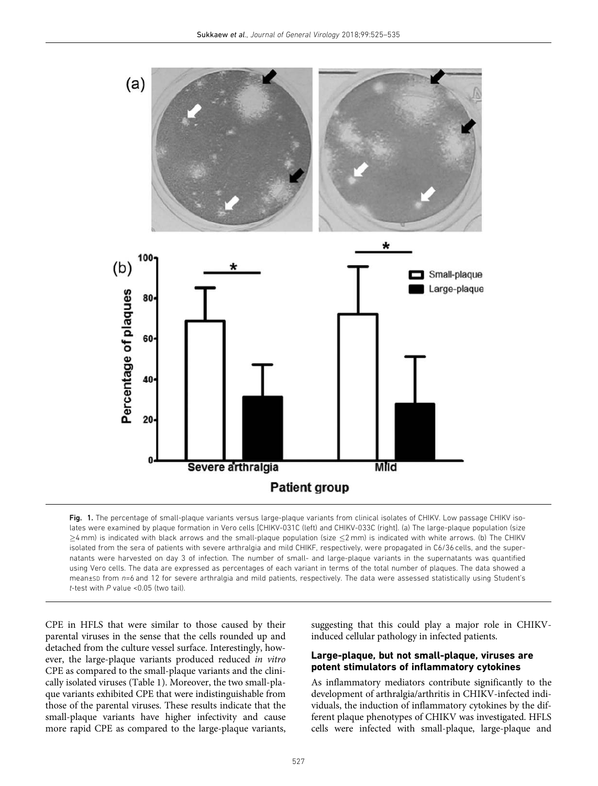

Fig. 1. The percentage of small-plaque variants versus large-plaque variants from clinical isolates of CHIKV. Low passage CHIKV isolates were examined by plaque formation in Vero cells [CHIKV-031C (left) and CHIKV-033C (right]. (a) The large-plaque population (size  $\geq$ 4 mm) is indicated with black arrows and the small-plaque population (size  $\leq$ 2 mm) is indicated with white arrows. (b) The CHIKV isolated from the sera of patients with severe arthralgia and mild CHIKF, respectively, were propagated in C6/36 cells, and the supernatants were harvested on day 3 of infection. The number of small- and large-plaque variants in the supernatants was quantified using Vero cells. The data are expressed as percentages of each variant in terms of the total number of plaques. The data showed a mean±sD from n=6 and 12 for severe arthralgia and mild patients, respectively. The data were assessed statistically using Student's t-test with  $P$  value <0.05 (two tail).

CPE in HFLS that were similar to those caused by their parental viruses in the sense that the cells rounded up and detached from the culture vessel surface. Interestingly, however, the large-plaque variants produced reduced in vitro CPE as compared to the small-plaque variants and the clinically isolated viruses (Table 1). Moreover, the two small-plaque variants exhibited CPE that were indistinguishable from those of the parental viruses. These results indicate that the small-plaque variants have higher infectivity and cause more rapid CPE as compared to the large-plaque variants,

suggesting that this could play a major role in CHIKVinduced cellular pathology in infected patients.

#### Large-plaque, but not small-plaque, viruses are potent stimulators of inflammatory cytokines

As inflammatory mediators contribute significantly to the development of arthralgia/arthritis in CHIKV-infected individuals, the induction of inflammatory cytokines by the different plaque phenotypes of CHIKV was investigated. HFLS cells were infected with small-plaque, large-plaque and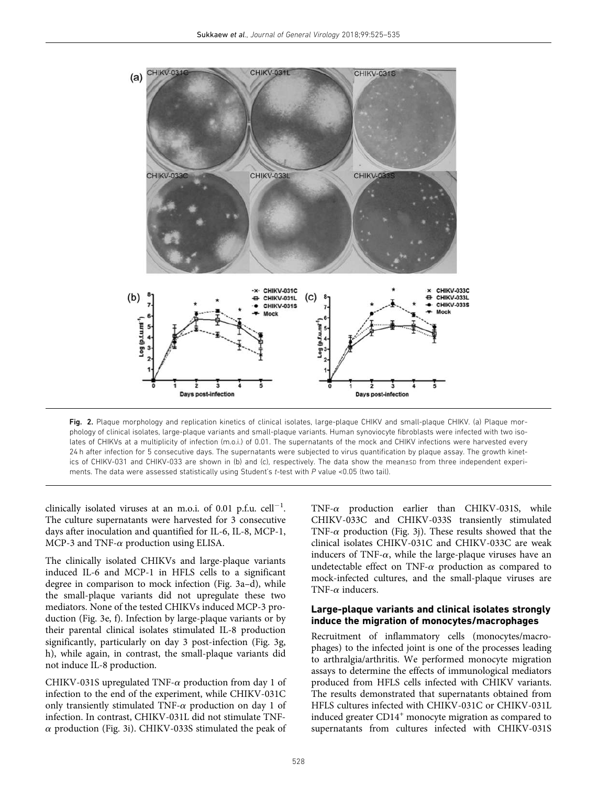

Fig. 2. Plaque morphology and replication kinetics of clinical isolates, large-plaque CHIKV and small-plaque CHIKV. (a) Plaque morphology of clinical isolates, large-plaque variants and small-plaque variants. Human synoviocyte fibroblasts were infected with two isolates of CHIKVs at a multiplicity of infection (m.o.i.) of 0.01. The supernatants of the mock and CHIKV infections were harvested every 24 h after infection for 5 consecutive days. The supernatants were subjected to virus quantification by plaque assay. The growth kinetics of CHIKV-031 and CHIKV-033 are shown in (b) and (c), respectively. The data show the mean±SD from three independent experiments. The data were assessed statistically using Student's t-test with P value <0.05 (two tail).

clinically isolated viruses at an m.o.i. of 0.01 p.f.u.  $\text{cell}^{-1}$ . The culture supernatants were harvested for 3 consecutive days after inoculation and quantified for IL-6, IL-8, MCP-1, MCP-3 and TNF- $\alpha$  production using ELISA.

The clinically isolated CHIKVs and large-plaque variants induced IL-6 and MCP-1 in HFLS cells to a significant degree in comparison to mock infection (Fig. 3a–d), while the small-plaque variants did not upregulate these two mediators. None of the tested CHIKVs induced MCP-3 production (Fig. 3e, f). Infection by large-plaque variants or by their parental clinical isolates stimulated IL-8 production significantly, particularly on day 3 post-infection (Fig. 3g, h), while again, in contrast, the small-plaque variants did not induce IL-8 production.

CHIKV-031S upregulated TNF- $\alpha$  production from day 1 of infection to the end of the experiment, while CHIKV-031C only transiently stimulated TNF- $\alpha$  production on day 1 of infection. In contrast, CHIKV-031L did not stimulate TNF- $\alpha$  production (Fig. 3i). CHIKV-033S stimulated the peak of

TNF- $\alpha$  production earlier than CHIKV-031S, while CHIKV-033C and CHIKV-033S transiently stimulated TNF- $\alpha$  production (Fig. 3j). These results showed that the clinical isolates CHIKV-031C and CHIKV-033C are weak inducers of TNF- $\alpha$ , while the large-plaque viruses have an undetectable effect on TNF- $\alpha$  production as compared to mock-infected cultures, and the small-plaque viruses are TNF- $\alpha$  inducers.

#### Large-plaque variants and clinical isolates strongly induce the migration of monocytes/macrophages

Recruitment of inflammatory cells (monocytes/macrophages) to the infected joint is one of the processes leading to arthralgia/arthritis. We performed monocyte migration assays to determine the effects of immunological mediators produced from HFLS cells infected with CHIKV variants. The results demonstrated that supernatants obtained from HFLS cultures infected with CHIKV-031C or CHIKV-031L induced greater  $CD14<sup>+</sup>$  monocyte migration as compared to supernatants from cultures infected with CHIKV-031S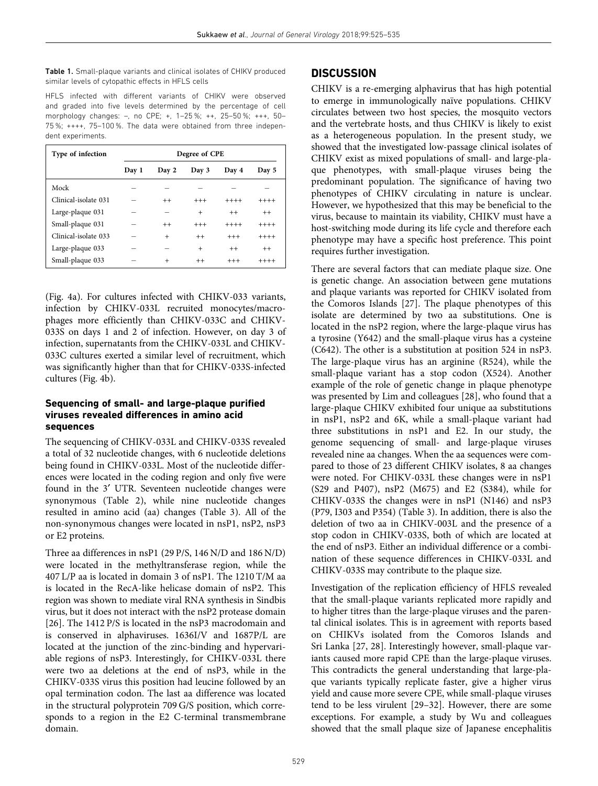Table 1. Small-plaque variants and clinical isolates of CHIKV produced similar levels of cytopathic effects in HFLS cells

HFLS infected with different variants of CHIKV were observed and graded into five levels determined by the percentage of cell morphology changes: –, no CPE; +, 1–25 %; ++, 25–50 %; +++, 50– 75 %; ++++, 75–100 %. The data were obtained from three independent experiments.

| Type of infection    | Degree of CPE |           |           |         |         |  |
|----------------------|---------------|-----------|-----------|---------|---------|--|
|                      | Day 1         | Day 2     | Day 3     | Day 4   | Day 5   |  |
| Mock                 |               |           |           |         |         |  |
| Clinical-isolate 031 |               | $^{++}$   | $+++$     | $+++++$ | $+++++$ |  |
| Large-plaque 031     |               | -         | $\ddot{}$ | $^{++}$ | $^{++}$ |  |
| Small-plaque 031     |               | $^{++}$   | $+++$     | $+++++$ | $+++++$ |  |
| Clinical-isolate 033 |               | $\ddot{}$ | $^{++}$   | $+++$   | $+++++$ |  |
| Large-plaque 033     |               | -         | $^{+}$    | $^{++}$ | $^{++}$ |  |
| Small-plaque 033     |               | $\ddot{}$ | $^{++}$   | $+++$   | $+++++$ |  |

(Fig. 4a). For cultures infected with CHIKV-033 variants, infection by CHIKV-033L recruited monocytes/macrophages more efficiently than CHIKV-033C and CHIKV-033S on days 1 and 2 of infection. However, on day 3 of infection, supernatants from the CHIKV-033L and CHIKV-033C cultures exerted a similar level of recruitment, which was significantly higher than that for CHIKV-033S-infected cultures (Fig. 4b).

## Sequencing of small- and large-plaque purified viruses revealed differences in amino acid sequences

The sequencing of CHIKV-033L and CHIKV-033S revealed a total of 32 nucleotide changes, with 6 nucleotide deletions being found in CHIKV-033L. Most of the nucleotide differences were located in the coding region and only five were found in the 3' UTR. Seventeen nucleotide changes were synonymous (Table 2), while nine nucleotide changes resulted in amino acid (aa) changes (Table 3). All of the non-synonymous changes were located in nsP1, nsP2, nsP3 or E2 proteins.

Three aa differences in nsP1 (29 P/S, 146 N/D and 186 N/D) were located in the methyltransferase region, while the 407 L/P aa is located in domain 3 of nsP1. The 1210 T/M aa is located in the RecA-like helicase domain of nsP2. This region was shown to mediate viral RNA synthesis in Sindbis virus, but it does not interact with the nsP2 protease domain [26]. The 1412 P/S is located in the nsP3 macrodomain and is conserved in alphaviruses. 1636I/V and 1687P/L are located at the junction of the zinc-binding and hypervariable regions of nsP3. Interestingly, for CHIKV-033L there were two aa deletions at the end of nsP3, while in the CHIKV-033S virus this position had leucine followed by an opal termination codon. The last aa difference was located in the structural polyprotein 709 G/S position, which corresponds to a region in the E2 C-terminal transmembrane domain.

## **DISCUSSION**

CHIKV is a re-emerging alphavirus that has high potential to emerge in immunologically naïve populations. CHIKV circulates between two host species, the mosquito vectors and the vertebrate hosts, and thus CHIKV is likely to exist as a heterogeneous population. In the present study, we showed that the investigated low-passage clinical isolates of CHIKV exist as mixed populations of small- and large-plaque phenotypes, with small-plaque viruses being the predominant population. The significance of having two phenotypes of CHIKV circulating in nature is unclear. However, we hypothesized that this may be beneficial to the virus, because to maintain its viability, CHIKV must have a host-switching mode during its life cycle and therefore each phenotype may have a specific host preference. This point requires further investigation.

There are several factors that can mediate plaque size. One is genetic change. An association between gene mutations and plaque variants was reported for CHIKV isolated from the Comoros Islands [27]. The plaque phenotypes of this isolate are determined by two aa substitutions. One is located in the nsP2 region, where the large-plaque virus has a tyrosine (Y642) and the small-plaque virus has a cysteine (C642). The other is a substitution at position 524 in nsP3. The large-plaque virus has an arginine (R524), while the small-plaque variant has a stop codon (X524). Another example of the role of genetic change in plaque phenotype was presented by Lim and colleagues [28], who found that a large-plaque CHIKV exhibited four unique aa substitutions in nsP1, nsP2 and 6K, while a small-plaque variant had three substitutions in nsP1 and E2. In our study, the genome sequencing of small- and large-plaque viruses revealed nine aa changes. When the aa sequences were compared to those of 23 different CHIKV isolates, 8 aa changes were noted. For CHIKV-033L these changes were in nsP1 (S29 and P407), nsP2 (M675) and E2 (S384), while for CHIKV-033S the changes were in nsP1 (N146) and nsP3 (P79, I303 and P354) (Table 3). In addition, there is also the deletion of two aa in CHIKV-003L and the presence of a stop codon in CHIKV-033S, both of which are located at the end of nsP3. Either an individual difference or a combination of these sequence differences in CHIKV-033L and CHIKV-033S may contribute to the plaque size.

Investigation of the replication efficiency of HFLS revealed that the small-plaque variants replicated more rapidly and to higher titres than the large-plaque viruses and the parental clinical isolates. This is in agreement with reports based on CHIKVs isolated from the Comoros Islands and Sri Lanka [27, 28]. Interestingly however, small-plaque variants caused more rapid CPE than the large-plaque viruses. This contradicts the general understanding that large-plaque variants typically replicate faster, give a higher virus yield and cause more severe CPE, while small-plaque viruses tend to be less virulent [29–32]. However, there are some exceptions. For example, a study by Wu and colleagues showed that the small plaque size of Japanese encephalitis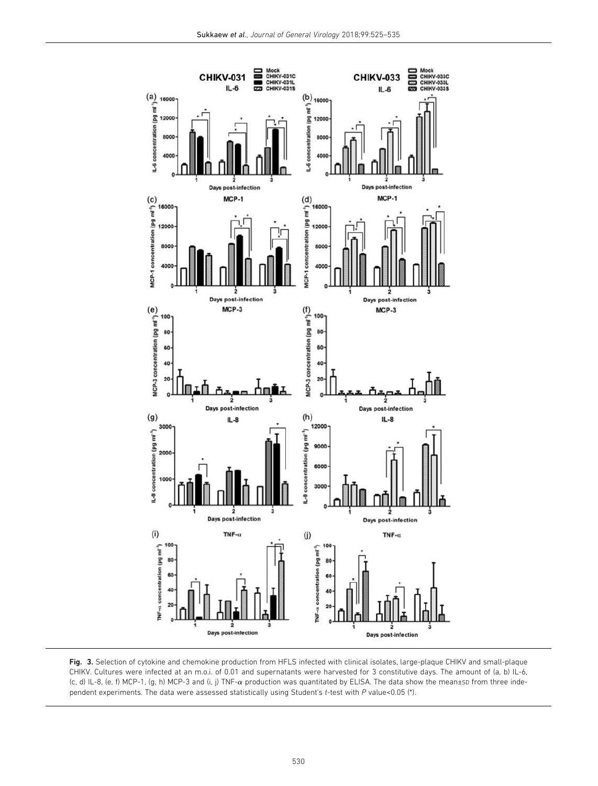

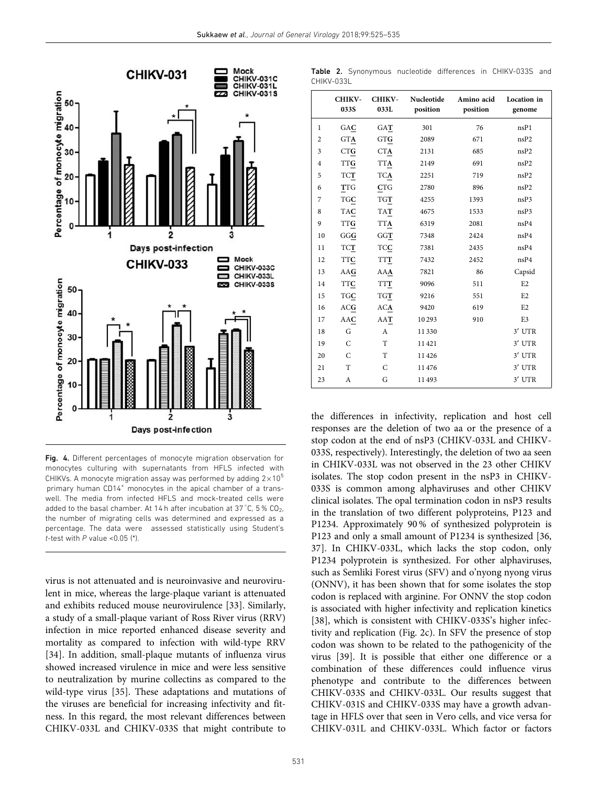

Fig. 4. Different percentages of monocyte migration observation for monocytes culturing with supernatants from HFLS infected with CHIKVs. A monocyte migration assay was performed by adding  $2\times10^5$ primary human CD14<sup>+</sup> monocytes in the apical chamber of a transwell. The media from infected HFLS and mock-treated cells were added to the basal chamber. At 14 h after incubation at 37 $^{\circ}$ C, 5% CO<sub>2</sub>, the number of migrating cells was determined and expressed as a percentage. The data were assessed statistically using Student's t-test with  $P$  value <0.05 (\*).

virus is not attenuated and is neuroinvasive and neurovirulent in mice, whereas the large-plaque variant is attenuated and exhibits reduced mouse neurovirulence [33]. Similarly, a study of a small-plaque variant of Ross River virus (RRV) infection in mice reported enhanced disease severity and mortality as compared to infection with wild-type RRV [34]. In addition, small-plaque mutants of influenza virus showed increased virulence in mice and were less sensitive to neutralization by murine collectins as compared to the wild-type virus [35]. These adaptations and mutations of the viruses are beneficial for increasing infectivity and fitness. In this regard, the most relevant differences between CHIKV-033L and CHIKV-033S that might contribute to

Table 2. Synonymous nucleotide differences in CHIKV-033S and CHIKV-033L

|                | <b>CHIKV-</b><br>033S | <b>CHIKV-</b><br>033L | Nucleotide<br>position | Amino acid<br>position | Location in<br>genome |
|----------------|-----------------------|-----------------------|------------------------|------------------------|-----------------------|
| 1              | GAC                   | GAT                   | 301                    | 76                     | nsP1                  |
| $\overline{2}$ | <b>GTA</b>            | <b>GTG</b>            | 2089                   | 671                    | nsP2                  |
| 3              | <b>CTG</b>            | <b>CTA</b>            | 2131                   | 685                    | nsP2                  |
| $\overline{4}$ | <b>TTG</b>            | <b>TTA</b>            | 2149                   | 691                    | nsP2                  |
| 5              | <b>TCT</b>            | <b>TCA</b>            | 2251                   | 719                    | nsP2                  |
| 6              | <b>TTG</b>            | <b>CTG</b>            | 2780                   | 896                    | nsP2                  |
| 7              | <b>TGC</b>            | <b>TGT</b>            | 4255                   | 1393                   | nsP3                  |
| 8              | <b>TAC</b>            | <b>TAT</b>            | 4675                   | 1533                   | nsP3                  |
| 9              | <b>TTG</b>            | <b>TTA</b>            | 6319                   | 2081                   | nsP4                  |
| 10             | GGG                   | GGT                   | 7348                   | 2424                   | nsP4                  |
| 11             | <b>TCT</b>            | TCC                   | 7381                   | 2435                   | nsP4                  |
| 12             | <b>TTC</b>            | <b>TTT</b>            | 7432                   | 2452                   | nsP4                  |
| 13             | AAG                   | AAA                   | 7821                   | 86                     | Capsid                |
| 14             | TTC                   | <b>TTT</b>            | 9096                   | 511                    | E <sub>2</sub>        |
| 15             | TGC                   | TGT                   | 9216                   | 551                    | E <sub>2</sub>        |
| 16             | ACG                   | <b>ACA</b>            | 9420                   | 619                    | E2                    |
| 17             | AAC                   | AAT                   | 10293                  | 910                    | E <sub>3</sub>        |
| 18             | G                     | A                     | 11330                  |                        | 3' UTR                |
| 19             | C                     | T                     | 11421                  |                        | 3' UTR                |
| 20             | C                     | T                     | 11426                  |                        | 3' UTR                |
| 21             | T                     | $\mathcal{C}$         | 11476                  |                        | 3' UTR                |
| 23             | A                     | G                     | 11493                  |                        | 3' UTR                |

the differences in infectivity, replication and host cell responses are the deletion of two aa or the presence of a stop codon at the end of nsP3 (CHIKV-033L and CHIKV-033S, respectively). Interestingly, the deletion of two aa seen in CHIKV-033L was not observed in the 23 other CHIKV isolates. The stop codon present in the nsP3 in CHIKV-033S is common among alphaviruses and other CHIKV clinical isolates. The opal termination codon in nsP3 results in the translation of two different polyproteins, P123 and P1234. Approximately 90 % of synthesized polyprotein is P123 and only a small amount of P1234 is synthesized [36, 37]. In CHIKV-033L, which lacks the stop codon, only P1234 polyprotein is synthesized. For other alphaviruses, such as Semliki Forest virus (SFV) and o'nyong nyong virus (ONNV), it has been shown that for some isolates the stop codon is replaced with arginine. For ONNV the stop codon is associated with higher infectivity and replication kinetics [38], which is consistent with CHIKV-033S's higher infectivity and replication (Fig. 2c). In SFV the presence of stop codon was shown to be related to the pathogenicity of the virus [39]. It is possible that either one difference or a combination of these differences could influence virus phenotype and contribute to the differences between CHIKV-033S and CHIKV-033L. Our results suggest that CHIKV-031S and CHIKV-033S may have a growth advantage in HFLS over that seen in Vero cells, and vice versa for CHIKV-031L and CHIKV-033L. Which factor or factors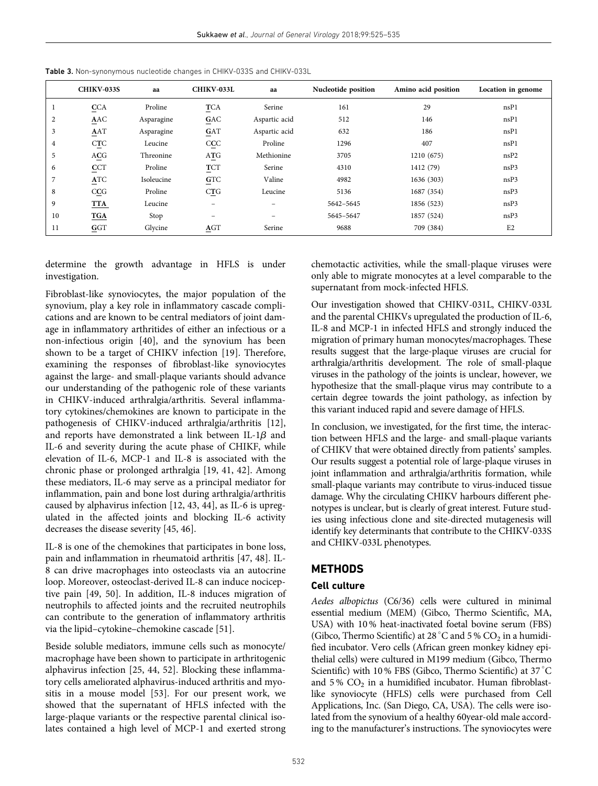|                | <b>CHIKV-033S</b> | aa         | CHIKV-033L            | aa                       | Nucleotide position | Amino acid position | Location in genome |
|----------------|-------------------|------------|-----------------------|--------------------------|---------------------|---------------------|--------------------|
|                | <b>CCA</b>        | Proline    | <b>TCA</b>            | Serine                   | 161                 | 29                  | nsP1               |
| $\overline{c}$ | AAC               | Asparagine | GAC                   | Aspartic acid            | 512                 | 146                 | nsP1               |
| 3              | AAT               | Asparagine | GAT                   | Aspartic acid            | 632                 | 186                 | nsP1               |
| 4              | <b>CTC</b>        | Leucine    | CCC                   | Proline                  | 1296                | 407                 | nsP1               |
| 5              | ACG               | Threonine  | ATG                   | Methionine               | 3705                | 1210 (675)          | nsP2               |
| 6              | CCT               | Proline    | $\overline{\text{r}}$ | Serine                   | 4310                | 1412 (79)           | nsP3               |
| 7              | <b>ATC</b>        | Isoleucine | <b>GTC</b>            | Valine                   | 4982                | 1636 (303)          | nsP3               |
| 8              | CCG               | Proline    | CTG                   | Leucine                  | 5136                | 1687 (354)          | nsP3               |
| 9              | <b>TTA</b>        | Leucine    | -                     |                          | 5642-5645           | 1856 (523)          | nsP3               |
| 10             | <b>TGA</b>        | Stop       | $\equiv$              | $\overline{\phantom{m}}$ | 5645-5647           | 1857 (524)          | nsP3               |
| 11             | GGT               | Glycine    | $\underline{A}GT$     | Serine                   | 9688                | 709 (384)           | E <sub>2</sub>     |

Table 3. Non-synonymous nucleotide changes in CHIKV-033S and CHIKV-033L

determine the growth advantage in HFLS is under investigation.

Fibroblast-like synoviocytes, the major population of the synovium, play a key role in inflammatory cascade complications and are known to be central mediators of joint damage in inflammatory arthritides of either an infectious or a non-infectious origin [40], and the synovium has been shown to be a target of CHIKV infection [19]. Therefore, examining the responses of fibroblast-like synoviocytes against the large- and small-plaque variants should advance our understanding of the pathogenic role of these variants in CHIKV-induced arthralgia/arthritis. Several inflammatory cytokines/chemokines are known to participate in the pathogenesis of CHIKV-induced arthralgia/arthritis [12], and reports have demonstrated a link between IL-1 $\beta$  and IL-6 and severity during the acute phase of CHIKF, while elevation of IL-6, MCP-1 and IL-8 is associated with the chronic phase or prolonged arthralgia [19, 41, 42]. Among these mediators, IL-6 may serve as a principal mediator for inflammation, pain and bone lost during arthralgia/arthritis caused by alphavirus infection [12, 43, 44], as IL-6 is upregulated in the affected joints and blocking IL-6 activity decreases the disease severity [45, 46].

IL-8 is one of the chemokines that participates in bone loss, pain and inflammation in rheumatoid arthritis [47, 48]. IL-8 can drive macrophages into osteoclasts via an autocrine loop. Moreover, osteoclast-derived IL-8 can induce nociceptive pain [49, 50]. In addition, IL-8 induces migration of neutrophils to affected joints and the recruited neutrophils can contribute to the generation of inflammatory arthritis via the lipid–cytokine–chemokine cascade [51].

Beside soluble mediators, immune cells such as monocyte/ macrophage have been shown to participate in arthritogenic alphavirus infection [25, 44, 52]. Blocking these inflammatory cells ameliorated alphavirus-induced arthritis and myositis in a mouse model [53]. For our present work, we showed that the supernatant of HFLS infected with the large-plaque variants or the respective parental clinical isolates contained a high level of MCP-1 and exerted strong chemotactic activities, while the small-plaque viruses were only able to migrate monocytes at a level comparable to the supernatant from mock-infected HFLS.

Our investigation showed that CHIKV-031L, CHIKV-033L and the parental CHIKVs upregulated the production of IL-6, IL-8 and MCP-1 in infected HFLS and strongly induced the migration of primary human monocytes/macrophages. These results suggest that the large-plaque viruses are crucial for arthralgia/arthritis development. The role of small-plaque viruses in the pathology of the joints is unclear, however, we hypothesize that the small-plaque virus may contribute to a certain degree towards the joint pathology, as infection by this variant induced rapid and severe damage of HFLS.

In conclusion, we investigated, for the first time, the interaction between HFLS and the large- and small-plaque variants of CHIKV that were obtained directly from patients' samples. Our results suggest a potential role of large-plaque viruses in joint inflammation and arthralgia/arthritis formation, while small-plaque variants may contribute to virus-induced tissue damage. Why the circulating CHIKV harbours different phenotypes is unclear, but is clearly of great interest. Future studies using infectious clone and site-directed mutagenesis will identify key determinants that contribute to the CHIKV-033S and CHIKV-033L phenotypes.

## **METHODS**

#### Cell culture

Aedes albopictus (C6/36) cells were cultured in minimal essential medium (MEM) (Gibco, Thermo Scientific, MA, USA) with 10 % heat-inactivated foetal bovine serum (FBS) (Gibco, Thermo Scientific) at 28  $^{\circ}{\rm C}$  and 5 %  $\rm CO_2$  in a humidified incubator. Vero cells (African green monkey kidney epithelial cells) were cultured in M199 medium (Gibco, Thermo Scientific) with 10 % FBS (Gibco, Thermo Scientific) at 37 °C and  $5\%$  CO<sub>2</sub> in a humidified incubator. Human fibroblastlike synoviocyte (HFLS) cells were purchased from Cell Applications, Inc. (San Diego, CA, USA). The cells were isolated from the synovium of a healthy 60year-old male according to the manufacturer's instructions. The synoviocytes were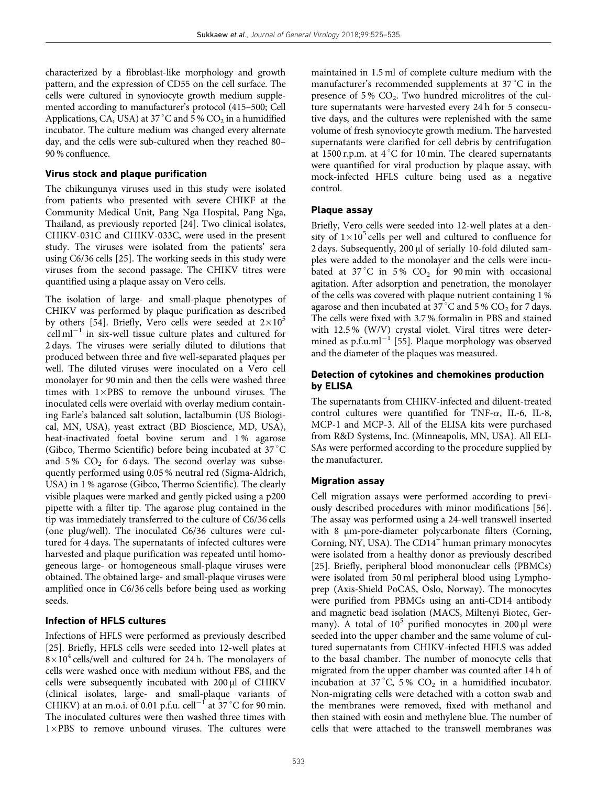characterized by a fibroblast-like morphology and growth pattern, and the expression of CD55 on the cell surface. The cells were cultured in synoviocyte growth medium supplemented according to manufacturer's protocol (415–500; Cell Applications, CA, USA) at 37 °C and 5 %  $CO<sub>2</sub>$  in a humidified incubator. The culture medium was changed every alternate day, and the cells were sub-cultured when they reached 80– 90 % confluence.

#### Virus stock and plaque purification

The chikungunya viruses used in this study were isolated from patients who presented with severe CHIKF at the Community Medical Unit, Pang Nga Hospital, Pang Nga, Thailand, as previously reported [24]. Two clinical isolates, CHIKV-031C and CHIKV-033C, were used in the present study. The viruses were isolated from the patients' sera using C6/36 cells [25]. The working seeds in this study were viruses from the second passage. The CHIKV titres were quantified using a plaque assay on Vero cells.

The isolation of large- and small-plaque phenotypes of CHIKV was performed by plaque purification as described by others [54]. Briefly, Vero cells were seeded at  $2\times10^5$  $\text{cell ml}^{-1}$  in six-well tissue culture plates and cultured for 2 days. The viruses were serially diluted to dilutions that produced between three and five well-separated plaques per well. The diluted viruses were inoculated on a Vero cell monolayer for 90 min and then the cells were washed three times with  $1 \times PBS$  to remove the unbound viruses. The inoculated cells were overlaid with overlay medium containing Earle's balanced salt solution, lactalbumin (US Biological, MN, USA), yeast extract (BD Bioscience, MD, USA), heat-inactivated foetal bovine serum and 1 % agarose (Gibco, Thermo Scientific) before being incubated at  $37^{\circ}$ C and  $5\%$  CO<sub>2</sub> for 6 days. The second overlay was subsequently performed using 0.05 % neutral red (Sigma-Aldrich, USA) in 1 % agarose (Gibco, Thermo Scientific). The clearly visible plaques were marked and gently picked using a p200 pipette with a filter tip. The agarose plug contained in the tip was immediately transferred to the culture of C6/36 cells (one plug/well). The inoculated C6/36 cultures were cultured for 4 days. The supernatants of infected cultures were harvested and plaque purification was repeated until homogeneous large- or homogeneous small-plaque viruses were obtained. The obtained large- and small-plaque viruses were amplified once in C6/36 cells before being used as working seeds.

#### Infection of HFLS cultures

Infections of HFLS were performed as previously described [25]. Briefly, HFLS cells were seeded into 12-well plates at  $8\times10^4$  cells/well and cultured for 24 h. The monolayers of cells were washed once with medium without FBS, and the cells were subsequently incubated with 200 µl of CHIKV (clinical isolates, large- and small-plaque variants of CHIKV) at an m.o.i. of 0.01 p.f.u. cell<sup>-1</sup> at  $37^{\circ}$ C for 90 min. The inoculated cultures were then washed three times with 1×PBS to remove unbound viruses. The cultures were

maintained in 1.5 ml of complete culture medium with the manufacturer's recommended supplements at 37 °C in the presence of  $5\%$  CO<sub>2</sub>. Two hundred microlitres of the culture supernatants were harvested every 24 h for 5 consecutive days, and the cultures were replenished with the same volume of fresh synoviocyte growth medium. The harvested supernatants were clarified for cell debris by centrifugation at 1500 r.p.m. at  $4^{\circ}$ C for 10 min. The cleared supernatants were quantified for viral production by plaque assay, with mock-infected HFLS culture being used as a negative control.

#### Plaque assay

Briefly, Vero cells were seeded into 12-well plates at a density of  $1\times10^5$  cells per well and cultured to confluence for 2 days. Subsequently, 200 µl of serially 10-fold diluted samples were added to the monolayer and the cells were incubated at  $37^{\circ}$ C in 5%  $CO_2$  for 90 min with occasional agitation. After adsorption and penetration, the monolayer of the cells was covered with plaque nutrient containing 1 % agarose and then incubated at  $37^{\circ}$ C and 5% CO<sub>2</sub> for 7 days. The cells were fixed with 3.7 % formalin in PBS and stained with 12.5 % (W/V) crystal violet. Viral titres were determined as  $p.f.u.m<sup>1</sup>$  [55]. Plaque morphology was observed and the diameter of the plaques was measured.

## Detection of cytokines and chemokines production by ELISA

The supernatants from CHIKV-infected and diluent-treated control cultures were quantified for TNF- $\alpha$ , IL-6, IL-8, MCP-1 and MCP-3. All of the ELISA kits were purchased from R&D Systems, Inc. (Minneapolis, MN, USA). All ELI-SAs were performed according to the procedure supplied by the manufacturer.

#### Migration assay

Cell migration assays were performed according to previously described procedures with minor modifications [56]. The assay was performed using a 24-well transwell inserted with 8  $\mu$ m-pore-diameter polycarbonate filters (Corning, Corning, NY, USA). The CD14<sup>+</sup> human primary monocytes were isolated from a healthy donor as previously described [25]. Briefly, peripheral blood mononuclear cells (PBMCs) were isolated from 50 ml peripheral blood using Lymphoprep (Axis-Shield PoCAS, Oslo, Norway). The monocytes were purified from PBMCs using an anti-CD14 antibody and magnetic bead isolation (MACS, Miltenyi Biotec, Germany). A total of  $10^5$  purified monocytes in 200 µl were seeded into the upper chamber and the same volume of cultured supernatants from CHIKV-infected HFLS was added to the basal chamber. The number of monocyte cells that migrated from the upper chamber was counted after 14 h of incubation at 37 °C, 5 %  $CO<sub>2</sub>$  in a humidified incubator. Non-migrating cells were detached with a cotton swab and the membranes were removed, fixed with methanol and then stained with eosin and methylene blue. The number of cells that were attached to the transwell membranes was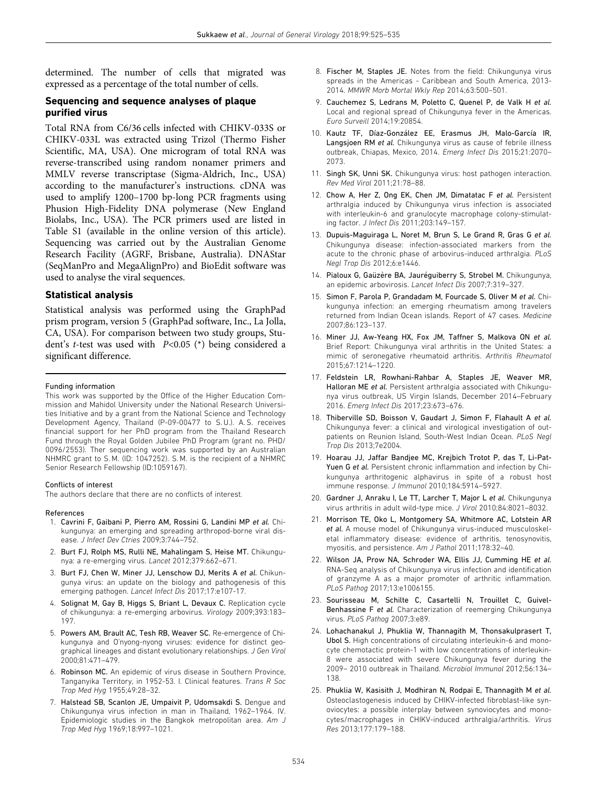determined. The number of cells that migrated was expressed as a percentage of the total number of cells.

## Sequencing and sequence analyses of plaque purified virus

Total RNA from C6/36 cells infected with CHIKV-033S or CHIKV-033L was extracted using Trizol (Thermo Fisher Scientific, MA, USA). One microgram of total RNA was reverse-transcribed using random nonamer primers and MMLV reverse transcriptase (Sigma-Aldrich, Inc., USA) according to the manufacturer's instructions. cDNA was used to amplify 1200–1700 bp-long PCR fragments using Phusion High-Fidelity DNA polymerase (New England Biolabs, Inc., USA). The PCR primers used are listed in Table S1 (available in the online version of this article). Sequencing was carried out by the Australian Genome Research Facility (AGRF, Brisbane, Australia). DNAStar (SeqManPro and MegaAlignPro) and BioEdit software was used to analyse the viral sequences.

### Statistical analysis

Statistical analysis was performed using the GraphPad prism program, version 5 (GraphPad software, Inc., La Jolla, CA, USA). For comparison between two study groups, Student's *t*-test was used with  $P<0.05$  (\*) being considered a significant difference.

#### Funding information

This work was supported by the Office of the Higher Education Commission and Mahidol University under the National Research Universities Initiative and by a grant from the National Science and Technology Development Agency, Thailand (P-09-00477 to S. U.). A. S. receives financial support for her PhD program from the Thailand Research Fund through the Royal Golden Jubilee PhD Program (grant no. PHD/ 0096/2553). Ther sequencing work was supported by an Australian NHMRC grant to S. M. (ID: 1047252). S. M. is the recipient of a NHMRC Senior Research Fellowship (ID:1059167).

#### Conflicts of interest

The authors declare that there are no conflicts of interest.

#### References

- 1. Cavrini F, Gaibani P, Pierro AM, Rossini G, Landini MP et al. Chikungunya: an emerging and spreading arthropod-borne viral disease. J Infect Dev Ctries 2009;3:744–752.
- 2. Burt FJ, Rolph MS, Rulli NE, Mahalingam S, Heise MT. Chikungunya: a re-emerging virus. Lancet 2012;379:662–671.
- 3. Burt FJ, Chen W, Miner JJ, Lenschow DJ, Merits A et al. Chikungunya virus: an update on the biology and pathogenesis of this emerging pathogen. Lancet Infect Dis 2017;17:e107-17.
- 4. Solignat M, Gay B, Higgs S, Briant L, Devaux C. Replication cycle of chikungunya: a re-emerging arbovirus. Virology 2009;393:183– 197.
- 5. Powers AM, Brault AC, Tesh RB, Weaver SC. Re-emergence of Chikungunya and O'nyong-nyong viruses: evidence for distinct geographical lineages and distant evolutionary relationships. J Gen Virol 2000;81:471–479.
- 6. Robinson MC. An epidemic of virus disease in Southern Province, Tanganyika Territory, in 1952-53. I. Clinical features. Trans R Soc Trop Med Hyg 1955;49:28–32.
- 7. Halstead SB, Scanlon JE, Umpaivit P, Udomsakdi S. Dengue and Chikungunya virus infection in man in Thailand, 1962–1964. IV. Epidemiologic studies in the Bangkok metropolitan area. Am J Trop Med Hyg 1969;18:997–1021.
- 8. Fischer M, Staples JE. Notes from the field: Chikungunya virus spreads in the Americas - Caribbean and South America, 2013- 2014. MMWR Morb Mortal Wkly Rep 2014;63:500–501.
- 9. Cauchemez S, Ledrans M, Poletto C, Quenel P, de Valk H et al. Local and regional spread of Chikungunya fever in the Americas. Euro Surveill 2014;19:20854.
- 10. Kautz TF, Díaz-Gonzalez EE, Erasmus JH, Malo-García IR, Langsjoen RM et al. Chikungunya virus as cause of febrile illness outbreak, Chiapas, Mexico, 2014. Emerg Infect Dis 2015;21:2070– 2073.
- 11. Singh SK, Unni SK. Chikungunya virus: host pathogen interaction. Rev Med Virol 2011;21:78–88.
- 12. Chow A, Her Z, Ong EK, Chen JM, Dimatatac F et al. Persistent arthralgia induced by Chikungunya virus infection is associated with interleukin-6 and granulocyte macrophage colony-stimulating factor. J Infect Dis 2011;203:149–157.
- 13. Dupuis-Maguiraga L, Noret M, Brun S, Le Grand R, Gras G et al. Chikungunya disease: infection-associated markers from the acute to the chronic phase of arbovirus-induced arthralgia. PLoS Negl Trop Dis 2012;6:e1446.
- 14. Pialoux G, Gaüzère BA, Jauréquiberry S, Strobel M. Chikungunya, an epidemic arbovirosis. Lancet Infect Dis 2007;7:319–327.
- 15. Simon F, Parola P, Grandadam M, Fourcade S, Oliver M et al. Chikungunya infection: an emerging rheumatism among travelers returned from Indian Ocean islands. Report of 47 cases. Medicine 2007;86:123–137.
- 16. Miner JJ, Aw-Yeang HX, Fox JM, Taffner S, Malkova ON et al. Brief Report: Chikungunya viral arthritis in the United States: a mimic of seronegative rheumatoid arthritis. Arthritis Rheumatol 2015;67:1214–1220.
- 17. Feldstein LR, Rowhani-Rahbar A, Staples JE, Weaver MR, Halloran ME et al. Persistent arthralgia associated with Chikungunya virus outbreak, US Virgin Islands, December 2014–February 2016. Emerg Infect Dis 2017;23:673–676.
- 18. Thiberville SD, Boisson V, Gaudart J, Simon F, Flahault A et al. Chikungunya fever: a clinical and virological investigation of outpatients on Reunion Island, South-West Indian Ocean. PLoS Negl Trop Dis 2013;7e2004.
- 19. Hoarau JJ, Jaffar Bandjee MC, Krejbich Trotot P, das T, Li-Pat-Yuen G et al. Persistent chronic inflammation and infection by Chikungunya arthritogenic alphavirus in spite of a robust host immune response. J Immunol 2010;184:5914–5927.
- 20. Gardner J, Anraku I, Le TT, Larcher T, Major L et al. Chikungunya virus arthritis in adult wild-type mice. J Virol 2010;84:8021–8032.
- 21. Morrison TE, Oko L, Montgomery SA, Whitmore AC, Lotstein AR et al. A mouse model of Chikungunya virus-induced musculoskeletal inflammatory disease: evidence of arthritis, tenosynovitis, myositis, and persistence. Am J Pathol 2011;178:32–40.
- 22. Wilson JA, Prow NA, Schroder WA, Ellis JJ, Cumming HE et al. RNA-Seq analysis of Chikungunya virus infection and identification of granzyme A as a major promoter of arthritic inflammation. PLoS Pathog 2017;13:e1006155.
- 23. Sourisseau M, Schilte C, Casartelli N, Trouillet C, Guivel-Benhassine F et al. Characterization of reemerging Chikungunya virus. PLoS Pathog 2007;3:e89.
- 24. Lohachanakul J, Phuklia W, Thannagith M, Thonsakulprasert T, Ubol S. High concentrations of circulating interleukin-6 and monocyte chemotactic protein-1 with low concentrations of interleukin-8 were associated with severe Chikungunya fever during the 2009– 2010 outbreak in Thailand. Microbiol Immunol 2012;56:134– 138.
- 25. Phuklia W, Kasisith J, Modhiran N, Rodpai E, Thannagith M et al. Osteoclastogenesis induced by CHIKV-infected fibroblast-like synoviocytes: a possible interplay between synoviocytes and monocytes/macrophages in CHIKV-induced arthralgia/arthritis. Virus Res 2013;177:179–188.